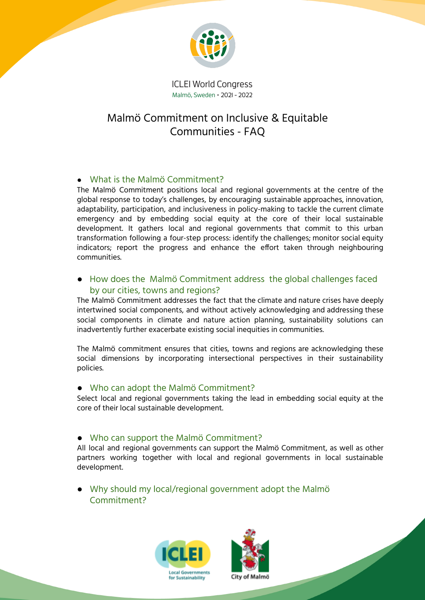

**ICLEI World Congress** Malmö, Sweden · 2021 - 2022

# Malmö Commitment on Inclusive & Equitable Communities - FAQ

## ● What is the Malmö Commitment?

The Malmö Commitment positions local and regional governments at the centre of the global response to today's challenges, by encouraging sustainable approaches, innovation, adaptability, participation, and inclusiveness in policy-making to tackle the current climate emergency and by embedding social equity at the core of their local sustainable development. It gathers local and regional governments that commit to this urban transformation following a four-step process: identify the challenges; monitor social equity indicators; report the progress and enhance the effort taken through neighbouring communities.

### ● How does the Malmö Commitment address the global challenges faced by our cities, towns and regions?

The Malmö Commitment addresses the fact that the climate and nature crises have deeply intertwined social components, and without actively acknowledging and addressing these social components in climate and nature action planning, sustainability solutions can inadvertently further exacerbate existing social inequities in communities.

The Malmö commitment ensures that cities, towns and regions are acknowledging these social dimensions by incorporating intersectional perspectives in their sustainability policies.

#### ● Who can adopt the Malmö Commitment?

Select local and regional governments taking the lead in embedding social equity at the core of their local sustainable development.

#### ● Who can support the Malmö Commitment?

All local and regional governments can support the Malmö Commitment, as well as other partners working together with local and regional governments in local sustainable development.

● Why should my local/regional government adopt the Malmö Commitment?



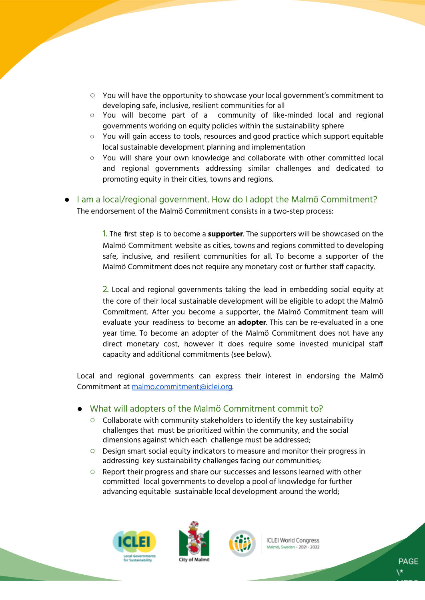- You will have the opportunity to showcase your local government's commitment to developing safe, inclusive, resilient communities for all
- You will become part of a community of like-minded local and regional governments working on equity policies within the sustainability sphere
- You will gain access to tools, resources and good practice which support equitable local sustainable development planning and implementation
- You will share your own knowledge and collaborate with other committed local and regional governments addressing similar challenges and dedicated to promoting equity in their cities, towns and regions.
- I am a local/regional government. How do I adopt the Malmö Commitment? The endorsement of the Malmö Commitment consists in a two-step process:

1. The first step is to become a **supporter**. The supporters will be showcased on the Malmö Commitment website as cities, towns and regions committed to developing safe, inclusive, and resilient communities for all. To become a supporter of the Malmö Commitment does not require any monetary cost or further staff capacity.

2. Local and regional governments taking the lead in embedding social equity at the core of their local sustainable development will be eligible to adopt the Malmö Commitment. After you become a supporter, the Malmö Commitment team will evaluate your readiness to become an **adopter**. This can be re-evaluated in a one year time. To become an adopter of the Malmö Commitment does not have any direct monetary cost, however it does require some invested municipal staff capacity and additional commitments (see below).

Local and regional governments can express their interest in endorsing the Malmö Commitment at [malmo.commitment@iclei.org.](mailto:malmo.commitment@iclei.org)

- What will adopters of the Malmö Commitment commit to?
	- Collaborate with community stakeholders to identify the key sustainability challenges that must be prioritized within the community, and the social dimensions against which each challenge must be addressed;
	- Design smart social equity indicators to measure and monitor their progress in addressing key sustainability challenges facing our communities;
	- Report their progress and share our successes and lessons learned with other committed local governments to develop a pool of knowledge for further advancing equitable sustainable local development around the world;







**ICLEI World Congress** Malmö, Sweden + 2021 - 2022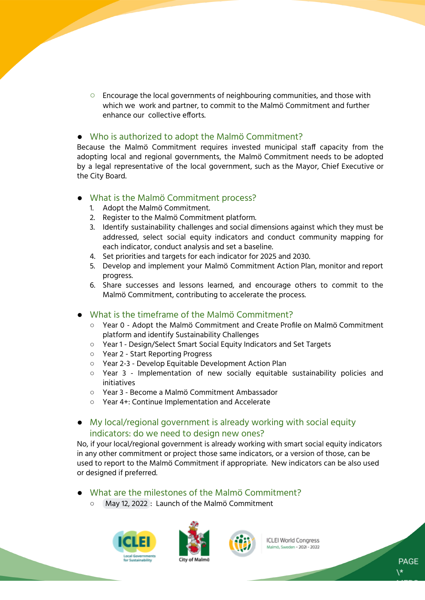Encourage the local governments of neighbouring communities, and those with which we work and partner, to commit to the Malmö Commitment and further enhance our collective efforts.

#### ● Who is authorized to adopt the Malmö Commitment?

Because the Malmö Commitment requires invested municipal staff capacity from the adopting local and regional governments, the Malmö Commitment needs to be adopted by a legal representative of the local government, such as the Mayor, Chief Executive or the City Board.

- What is the Malmö Commitment process?
	- 1. Adopt the Malmö Commitment.
	- 2. Register to the Malmö Commitment platform.
	- 3. Identify sustainability challenges and social dimensions against which they must be addressed, select social equity indicators and conduct community mapping for each indicator, conduct analysis and set a baseline.
	- 4. Set priorities and targets for each indicator for 2025 and 2030.
	- 5. Develop and implement your Malmö Commitment Action Plan, monitor and report progress.
	- 6. Share successes and lessons learned, and encourage others to commit to the Malmö Commitment, contributing to accelerate the process.
- What is the timeframe of the Malmö Commitment?
	- Year 0 Adopt the Malmö Commitment and Create Profile on Malmö Commitment platform and identify Sustainability Challenges
	- Year 1 Design/Select Smart Social Equity Indicators and Set Targets
	- Year 2 Start Reporting Progress
	- Year 2-3 Develop Equitable Development Action Plan
	- Year 3 Implementation of new socially equitable sustainability policies and initiatives
	- Year 3 Become a Malmö Commitment Ambassador
	- Year 4+: Continue Implementation and Accelerate
- My local/regional government is already working with social equity indicators: do we need to design new ones?

No, if your local/regional government is already working with smart social equity indicators in any other commitment or project those same indicators, or a version of those, can be used to report to the Malmö Commitment if appropriate. New indicators can be also used or designed if preferred.

- What are the milestones of the Malmö Commitment?
	- May 12, 2022 : Launch of the Malmö Commitment







**ICLEI World Congress** Malmö, Sweden + 2021 - 2022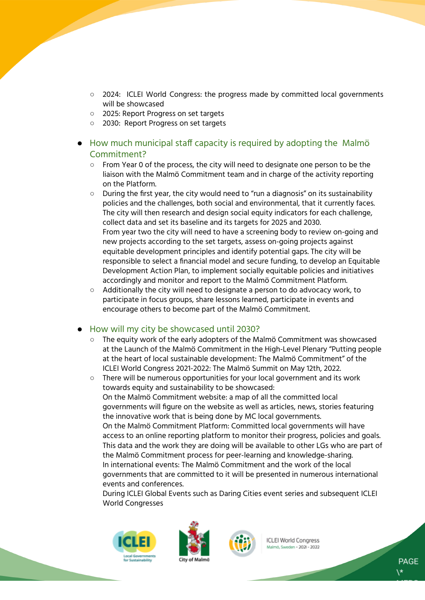- 2024: ICLEI World Congress: the progress made by committed local governments will be showcased
- 2025: Report Progress on set targets
- 2030: Report Progress on set targets
- How much municipal staff capacity is required by adopting the Malmö Commitment?
	- From Year 0 of the process, the city will need to designate one person to be the liaison with the Malmö Commitment team and in charge of the activity reporting on the Platform.
	- $\circ$  During the first year, the city would need to "run a diagnosis" on its sustainability policies and the challenges, both social and environmental, that it currently faces. The city will then research and design social equity indicators for each challenge, collect data and set its baseline and its targets for 2025 and 2030. From year two the city will need to have a screening body to review on-going and new projects according to the set targets, assess on-going projects against equitable development principles and identify potential gaps. The city will be responsible to select a financial model and secure funding, to develop an Equitable Development Action Plan, to implement socially equitable policies and initiatives accordingly and monitor and report to the Malmö Commitment Platform.
	- Additionally the city will need to designate a person to do advocacy work, to participate in focus groups, share lessons learned, participate in events and encourage others to become part of the Malmö Commitment.

#### How will my city be showcased until 2030?

- The equity work of the early adopters of the Malmö Commitment was showcased at the Launch of the Malmö Commitment in the High-Level Plenary "Putting people at the heart of local sustainable development: The Malmö Commitment" of the ICLEI World Congress 2021-2022: The Malmö Summit on May 12th, 2022.
- There will be numerous opportunities for your local government and its work towards equity and sustainability to be showcased: On the Malmö Commitment website: a map of all the committed local governments will figure on the website as well as articles, news, stories featuring the innovative work that is being done by MC local governments. On the Malmö Commitment Platform: Committed local governments will have access to an online reporting platform to monitor their progress, policies and goals. This data and the work they are doing will be available to other LGs who are part of the Malmö Commitment process for peer-learning and knowledge-sharing. In international events: The Malmö Commitment and the work of the local governments that are committed to it will be presented in numerous international events and conferences.

During ICLEI Global Events such as Daring Cities event series and subsequent ICLEI World Congresses







**ICLEI World Congress** Malmö, Sweden + 2021 - 2022